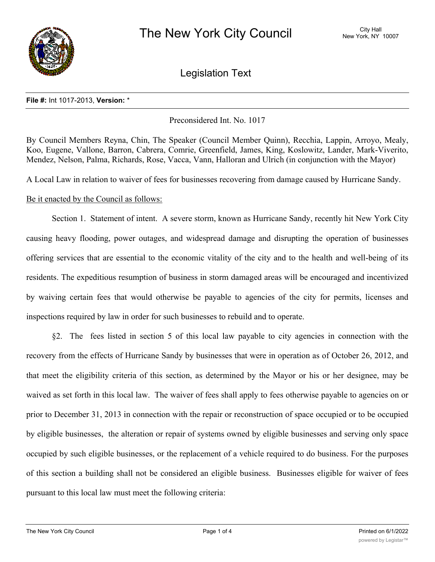

Legislation Text

## **File #:** Int 1017-2013, **Version:** \*

Preconsidered Int. No. 1017

By Council Members Reyna, Chin, The Speaker (Council Member Quinn), Recchia, Lappin, Arroyo, Mealy, Koo, Eugene, Vallone, Barron, Cabrera, Comrie, Greenfield, James, King, Koslowitz, Lander, Mark-Viverito, Mendez, Nelson, Palma, Richards, Rose, Vacca, Vann, Halloran and Ulrich (in conjunction with the Mayor)

A Local Law in relation to waiver of fees for businesses recovering from damage caused by Hurricane Sandy.

## Be it enacted by the Council as follows:

Section 1. Statement of intent. A severe storm, known as Hurricane Sandy, recently hit New York City causing heavy flooding, power outages, and widespread damage and disrupting the operation of businesses offering services that are essential to the economic vitality of the city and to the health and well-being of its residents. The expeditious resumption of business in storm damaged areas will be encouraged and incentivized by waiving certain fees that would otherwise be payable to agencies of the city for permits, licenses and inspections required by law in order for such businesses to rebuild and to operate.

§2. The fees listed in section 5 of this local law payable to city agencies in connection with the recovery from the effects of Hurricane Sandy by businesses that were in operation as of October 26, 2012, and that meet the eligibility criteria of this section, as determined by the Mayor or his or her designee, may be waived as set forth in this local law. The waiver of fees shall apply to fees otherwise payable to agencies on or prior to December 31, 2013 in connection with the repair or reconstruction of space occupied or to be occupied by eligible businesses, the alteration or repair of systems owned by eligible businesses and serving only space occupied by such eligible businesses, or the replacement of a vehicle required to do business. For the purposes of this section a building shall not be considered an eligible business. Businesses eligible for waiver of fees pursuant to this local law must meet the following criteria: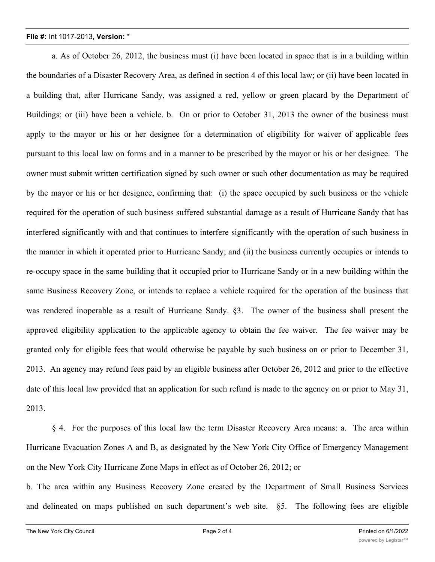## **File #:** Int 1017-2013, **Version:** \*

a. As of October 26, 2012, the business must (i) have been located in space that is in a building within the boundaries of a Disaster Recovery Area, as defined in section 4 of this local law; or (ii) have been located in a building that, after Hurricane Sandy, was assigned a red, yellow or green placard by the Department of Buildings; or (iii) have been a vehicle. b. On or prior to October 31, 2013 the owner of the business must apply to the mayor or his or her designee for a determination of eligibility for waiver of applicable fees pursuant to this local law on forms and in a manner to be prescribed by the mayor or his or her designee. The owner must submit written certification signed by such owner or such other documentation as may be required by the mayor or his or her designee, confirming that: (i) the space occupied by such business or the vehicle required for the operation of such business suffered substantial damage as a result of Hurricane Sandy that has interfered significantly with and that continues to interfere significantly with the operation of such business in the manner in which it operated prior to Hurricane Sandy; and (ii) the business currently occupies or intends to re-occupy space in the same building that it occupied prior to Hurricane Sandy or in a new building within the same Business Recovery Zone, or intends to replace a vehicle required for the operation of the business that was rendered inoperable as a result of Hurricane Sandy. §3. The owner of the business shall present the approved eligibility application to the applicable agency to obtain the fee waiver. The fee waiver may be granted only for eligible fees that would otherwise be payable by such business on or prior to December 31, 2013. An agency may refund fees paid by an eligible business after October 26, 2012 and prior to the effective date of this local law provided that an application for such refund is made to the agency on or prior to May 31, 2013.

§ 4. For the purposes of this local law the term Disaster Recovery Area means: a. The area within Hurricane Evacuation Zones A and B, as designated by the New York City Office of Emergency Management on the New York City Hurricane Zone Maps in effect as of October 26, 2012; or

b. The area within any Business Recovery Zone created by the Department of Small Business Services and delineated on maps published on such department's web site. §5. The following fees are eligible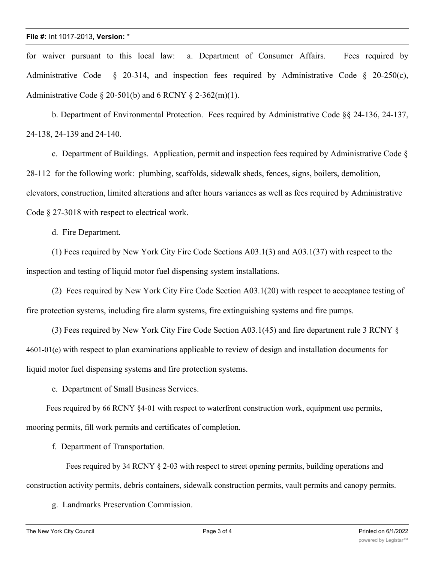for waiver pursuant to this local law: a. Department of Consumer Affairs. Fees required by Administrative Code  $\S$  20-314, and inspection fees required by Administrative Code  $\S$  20-250(c), Administrative Code  $\S 20-501(b)$  and 6 RCNY  $\S 2-362(m)(1)$ .

b. Department of Environmental Protection. Fees required by Administrative Code §§ 24-136, 24-137, 24-138, 24-139 and 24-140.

c. Department of Buildings. Application, permit and inspection fees required by Administrative Code § 28-112 for the following work: plumbing, scaffolds, sidewalk sheds, fences, signs, boilers, demolition, elevators, construction, limited alterations and after hours variances as well as fees required by Administrative Code § 27-3018 with respect to electrical work.

d. Fire Department.

(1) Fees required by New York City Fire Code Sections A03.1(3) and A03.1(37) with respect to the inspection and testing of liquid motor fuel dispensing system installations.

(2) Fees required by New York City Fire Code Section A03.1(20) with respect to acceptance testing of fire protection systems, including fire alarm systems, fire extinguishing systems and fire pumps.

(3) Fees required by New York City Fire Code Section A03.1(45) and fire department rule 3 RCNY § 4601-01(e) with respect to plan examinations applicable to review of design and installation documents for liquid motor fuel dispensing systems and fire protection systems.

e. Department of Small Business Services.

Fees required by 66 RCNY §4-01 with respect to waterfront construction work, equipment use permits, mooring permits, fill work permits and certificates of completion.

f. Department of Transportation.

Fees required by 34 RCNY § 2-03 with respect to street opening permits, building operations and construction activity permits, debris containers, sidewalk construction permits, vault permits and canopy permits.

g. Landmarks Preservation Commission.